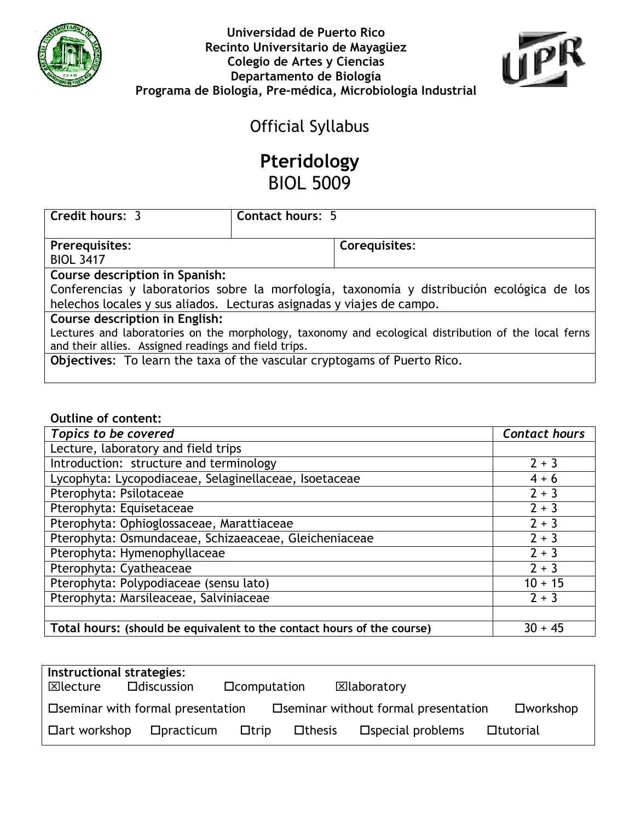



# Official Syllabus

# Pteridology BIOL 5009

| Credit hours: 3                                                                                      | <b>Contact hours: 5</b> |               |  |  |  |
|------------------------------------------------------------------------------------------------------|-------------------------|---------------|--|--|--|
|                                                                                                      |                         |               |  |  |  |
| Prerequisites:                                                                                       |                         | Corequisites: |  |  |  |
| <b>BIOL 3417</b>                                                                                     |                         |               |  |  |  |
| Course description in Spanish:                                                                       |                         |               |  |  |  |
| Conferencias y laboratorios sobre la morfología, taxonomía y distribución ecológica de los           |                         |               |  |  |  |
| helechos locales y sus aliados. Lecturas asignadas y viajes de campo.                                |                         |               |  |  |  |
| Course description in English:                                                                       |                         |               |  |  |  |
| Lectures and laboratories on the morphology, taxonomy and ecological distribution of the local ferns |                         |               |  |  |  |
| and their allies. Assigned readings and field trips.                                                 |                         |               |  |  |  |

Objectives: To learn the taxa of the vascular cryptogams of Puerto Rico.

#### Outline of content:

| Topics to be covered                                                   | <b>Contact hours</b> |
|------------------------------------------------------------------------|----------------------|
| Lecture, laboratory and field trips                                    |                      |
| Introduction: structure and terminology                                | $2 + 3$              |
| Lycophyta: Lycopodiaceae, Selaginellaceae, Isoetaceae                  | $4 + 6$              |
| Pterophyta: Psilotaceae                                                | $2 + 3$              |
| Pterophyta: Equisetaceae                                               | $2 + 3$              |
| Pterophyta: Ophioglossaceae, Marattiaceae                              | $2 + 3$              |
| Pterophyta: Osmundaceae, Schizaeaceae, Gleicheniaceae                  | $2 + 3$              |
| Pterophyta: Hymenophyllaceae                                           | $2 + 3$              |
| Pterophyta: Cyatheaceae                                                | $2 + 3$              |
| Pterophyta: Polypodiaceae (sensu lato)                                 | $10 + 15$            |
| Pterophyta: Marsileaceae, Salviniaceae                                 | $2 + 3$              |
|                                                                        |                      |
| Total hours: (should be equivalent to the contact hours of the course) | $30 + 45$            |

| Instructional strategies: |                                    |                      |               |                                       |                    |
|---------------------------|------------------------------------|----------------------|---------------|---------------------------------------|--------------------|
| $\boxtimes$ lecture       | $\square$ discussion               | <b>D</b> computation |               | ⊠laboratory                           |                    |
|                           | □ Seminar with formal presentation |                      |               | □ Seminar without formal presentation | $\square$ workshop |
| $\Box$ art workshop       | $D$ practicum                      | $\Box$ trip          | $\Box$ thesis | $\square$ special problems            | □tutorial          |